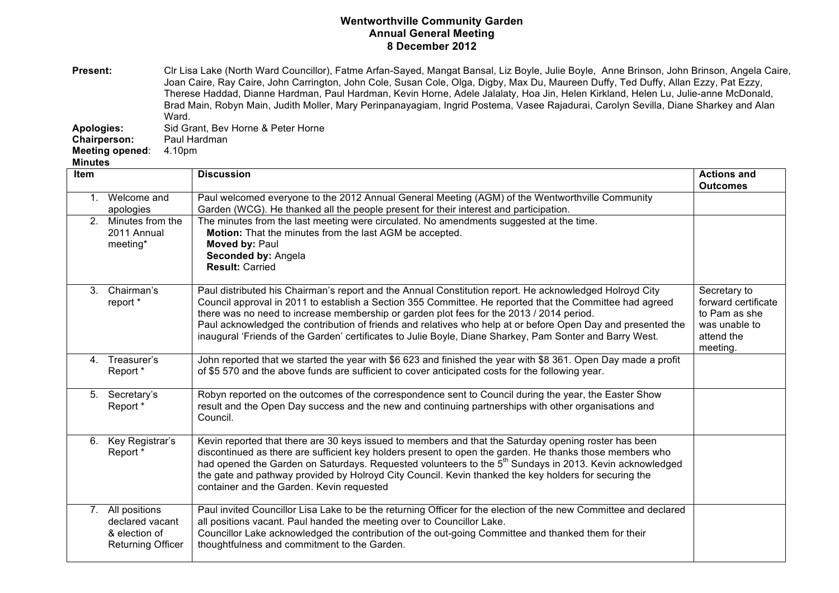## **Wentworthville Community Garden Annual General Meeting 8 December 2012**

Present: Clr Lisa Lake (North Ward Councillor), Fatme Arfan-Sayed, Mangat Bansal, Liz Boyle, Julie Boyle, Anne Brinson, John Brinson, Angela Caire, Joan Caire, Ray Caire, John Carrington, John Cole, Susan Cole, Olga, Digby, Max Du, Maureen Duffy, Ted Duffy, Allan Ezzy, Pat Ezzy, Therese Haddad, Dianne Hardman, Paul Hardman, Kevin Horne, Adele Jalalaty, Hoa Jin, Helen Kirkland, Helen Lu, Julie-anne McDonald, Brad Main, Robyn Main, Judith Moller, Mary Perinpanayagiam, Ingrid Postema, Vasee Rajadurai, Carolyn Sevilla, Diane Sharkey and Alan Ward.

**Apologies:** Sid Grant, Bev Horne & Peter Horne

**Chairperson:** 

**Meeting opened**: 4.10pm

**Minutes**

| Item |                                                                                  | <b>Discussion</b>                                                                                                                                                                                                                                                                                                                                                                                                                                                                                                                           | <b>Actions and</b><br><b>Outcomes</b>                                                           |
|------|----------------------------------------------------------------------------------|---------------------------------------------------------------------------------------------------------------------------------------------------------------------------------------------------------------------------------------------------------------------------------------------------------------------------------------------------------------------------------------------------------------------------------------------------------------------------------------------------------------------------------------------|-------------------------------------------------------------------------------------------------|
|      | 1. Welcome and<br>apologies                                                      | Paul welcomed everyone to the 2012 Annual General Meeting (AGM) of the Wentworthville Community<br>Garden (WCG). He thanked all the people present for their interest and participation.                                                                                                                                                                                                                                                                                                                                                    |                                                                                                 |
|      | 2. Minutes from the<br>2011 Annual<br>meeting*                                   | The minutes from the last meeting were circulated. No amendments suggested at the time.<br>Motion: That the minutes from the last AGM be accepted.<br>Moved by: Paul<br>Seconded by: Angela<br><b>Result: Carried</b>                                                                                                                                                                                                                                                                                                                       |                                                                                                 |
|      | 3. Chairman's<br>report *                                                        | Paul distributed his Chairman's report and the Annual Constitution report. He acknowledged Holroyd City<br>Council approval in 2011 to establish a Section 355 Committee. He reported that the Committee had agreed<br>there was no need to increase membership or garden plot fees for the 2013 / 2014 period.<br>Paul acknowledged the contribution of friends and relatives who help at or before Open Day and presented the<br>inaugural 'Friends of the Garden' certificates to Julie Boyle, Diane Sharkey, Pam Sonter and Barry West. | Secretary to<br>forward certificate<br>to Pam as she<br>was unable to<br>attend the<br>meeting. |
|      | 4. Treasurer's<br>Report *                                                       | John reported that we started the year with \$6 623 and finished the year with \$8 361. Open Day made a profit<br>of \$5 570 and the above funds are sufficient to cover anticipated costs for the following year.                                                                                                                                                                                                                                                                                                                          |                                                                                                 |
|      | 5. Secretary's<br>Report *                                                       | Robyn reported on the outcomes of the correspondence sent to Council during the year, the Easter Show<br>result and the Open Day success and the new and continuing partnerships with other organisations and<br>Council.                                                                                                                                                                                                                                                                                                                   |                                                                                                 |
| 6.   | Key Registrar's<br>Report *                                                      | Kevin reported that there are 30 keys issued to members and that the Saturday opening roster has been<br>discontinued as there are sufficient key holders present to open the garden. He thanks those members who<br>had opened the Garden on Saturdays. Requested volunteers to the 5 <sup>th</sup> Sundays in 2013. Kevin acknowledged<br>the gate and pathway provided by Holroyd City Council. Kevin thanked the key holders for securing the<br>container and the Garden. Kevin requested                                              |                                                                                                 |
|      | 7. All positions<br>declared vacant<br>& election of<br><b>Returning Officer</b> | Paul invited Councillor Lisa Lake to be the returning Officer for the election of the new Committee and declared<br>all positions vacant. Paul handed the meeting over to Councillor Lake.<br>Councillor Lake acknowledged the contribution of the out-going Committee and thanked them for their<br>thoughtfulness and commitment to the Garden.                                                                                                                                                                                           |                                                                                                 |